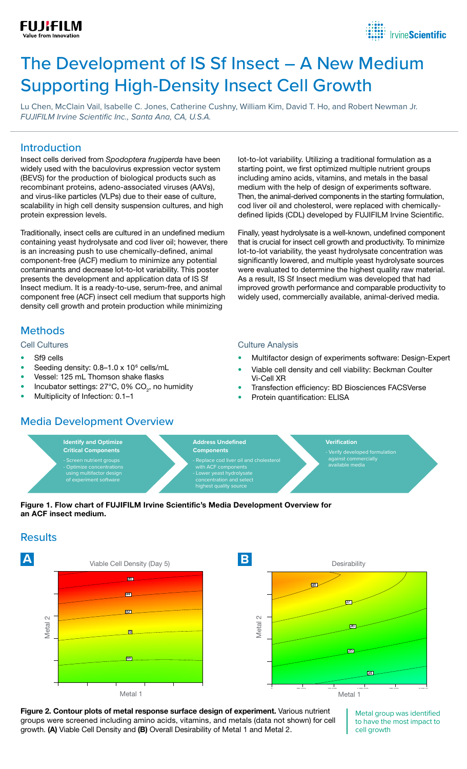



# The Development of IS Sf Insect – A New Medium Supporting High-Density Insect Cell Growth

Lu Chen, McClain Vail, Isabelle C. Jones, Catherine Cushny, William Kim, David T. Ho, and Robert Newman Jr. *FUJIFILM Irvine Scientific Inc., Santa Ana, CA, U.S.A.*

#### Introduction

Insect cells derived from *Spodoptera frugiperda* have been widely used with the baculovirus expression vector system (BEVS) for the production of biological products such as recombinant proteins, adeno-associated viruses (AAVs), and virus-like particles (VLPs) due to their ease of culture, scalability in high cell density suspension cultures, and high protein expression levels.

Traditionally, insect cells are cultured in an undefined medium containing yeast hydrolysate and cod liver oil; however, there is an increasing push to use chemically-defined, animal component-free (ACF) medium to minimize any potential contaminants and decrease lot-to-lot variability. This poster presents the development and application data of IS Sf Insect medium. It is a ready-to-use, serum-free, and animal component free (ACF) insect cell medium that supports high density cell growth and protein production while minimizing

### **Methods**

#### Cell Cultures

- Sf9 cells
- Seeding density:  $0.8-1.0 \times 10^6$  cells/mL
- Vessel: 125 mL Thomson shake flasks
- Incubator settings: 27 $^{\circ}$ C, 0% CO<sub>2</sub>, no humidity
- Multiplicity of Infection: 0.1–1

#### **Media Development Overview**

lot-to-lot variability. Utilizing a traditional formulation as a starting point, we first optimized multiple nutrient groups including amino acids, vitamins, and metals in the basal medium with the help of design of experiments software. Then, the animal-derived components in the starting formulation, cod liver oil and cholesterol, were replaced with chemicallydefined lipids (CDL) developed by FUJIFILM Irvine Scientific.

Finally, yeast hydrolysate is a well-known, undefined component that is crucial for insect cell growth and productivity. To minimize lot-to-lot variability, the yeast hydrolysate concentration was significantly lowered, and multiple yeast hydrolysate sources were evaluated to determine the highest quality raw material. As a result, IS Sf Insect medium was developed that had improved growth performance and comparable productivity to widely used, commercially available, animal-derived media.

#### Culture Analysis

- Multifactor design of experiments software: Design-Expert
- Viable cell density and cell viability: Beckman Coulter Vi-Cell XR
- Transfection efficiency: BD Biosciences FACSVerse
- Protein quantification: ELISA





## **Results**



Figure 2. Contour plots of metal response surface design of experiment. Various nutrient groups were screened including amino acids, vitamins, and metals (data not shown) for cell growth. (A) Viable Cell Density and (B) Overall Desirability of Metal 1 and Metal 2.

Metal group was identified to have the most impact to cell growth